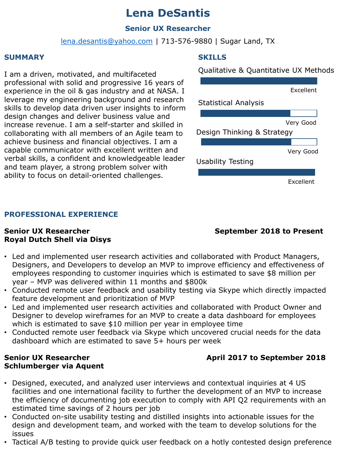### **Lena DeSantis**

### **Senior UX Researcher**

[lena.desantis@yahoo.com](mailto:lena.desantis@yahoo.com) | 713-576-9880 | Sugar Land, TX

### **SUMMARY**

I am a driven, motivated, and multifaceted professional with solid and progressive 16 years of experience in the oil & gas industry and at NASA. I leverage my engineering background and research skills to develop data driven user insights to inform design changes and deliver business value and increase revenue. I am a self-starter and skilled in collaborating with all members of an Agile team to achieve business and financial objectives. I am a capable communicator with excellent written and verbal skills, a confident and knowledgeable leader and team player, a strong problem solver with ability to focus on detail-oriented challenges.

### **SKILLS**

Qualitative & Quantitative UX Methods



### **PROFESSIONAL EXPERIENCE**

## **Royal Dutch Shell via Disys**

**Senior UX Researcher September 2018 to Present** 

- Led and implemented user research activities and collaborated with Product Managers, Designers, and Developers to develop an MVP to improve efficiency and effectiveness of employees responding to customer inquiries which is estimated to save \$8 million per year – MVP was delivered within 11 months and \$800k
- Conducted remote user feedback and usability testing via Skype which directly impacted feature development and prioritization of MVP
- Led and implemented user research activities and collaborated with Product Owner and Designer to develop wireframes for an MVP to create a data dashboard for employees which is estimated to save \$10 million per year in employee time
- Conducted remote user feedback via Skype which uncovered crucial needs for the data dashboard which are estimated to save 5+ hours per week

## **Schlumberger via Aquent**

### **Senior UX Researcher April 2017 to September 2018**

- Designed, executed, and analyzed user interviews and contextual inquiries at 4 US facilities and one international facility to further the development of an MVP to increase the efficiency of documenting job execution to comply with API Q2 requirements with an estimated time savings of 2 hours per job
- Conducted on-site usability testing and distilled insights into actionable issues for the design and development team, and worked with the team to develop solutions for the issues
- Tactical A/B testing to provide quick user feedback on a hotly contested design preference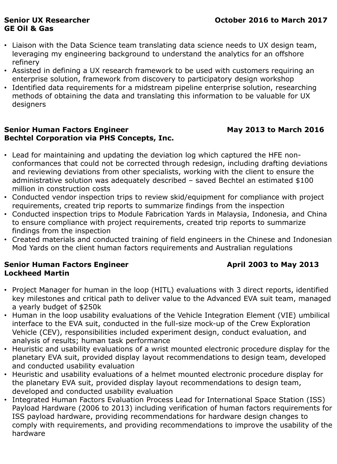# **GE Oil & Gas**

- Liaison with the Data Science team translating data science needs to UX design team, leveraging my engineering background to understand the analytics for an offshore refinery
- Assisted in defining a UX research framework to be used with customers requiring an enterprise solution, framework from discovery to participatory design workshop
- Identified data requirements for a midstream pipeline enterprise solution, researching methods of obtaining the data and translating this information to be valuable for UX designers

### **Senior Human Factors Engineer May 2013 to March 2016 Bechtel Corporation via PHS Concepts, Inc.**

- Lead for maintaining and updating the deviation log which captured the HFE nonconformances that could not be corrected through redesign, including drafting deviations and reviewing deviations from other specialists, working with the client to ensure the administrative solution was adequately described – saved Bechtel an estimated \$100 million in construction costs
- Conducted vendor inspection trips to review skid/equipment for compliance with project requirements, created trip reports to summarize findings from the inspection
- Conducted inspection trips to Module Fabrication Yards in Malaysia, Indonesia, and China to ensure compliance with project requirements, created trip reports to summarize findings from the inspection
- Created materials and conducted training of field engineers in the Chinese and Indonesian Mod Yards on the client human factors requirements and Australian regulations

### **Senior Human Factors Engineer April 2003 to May 2013 Lockheed Martin**

- Project Manager for human in the loop (HITL) evaluations with 3 direct reports, identified key milestones and critical path to deliver value to the Advanced EVA suit team, managed a yearly budget of \$250k
- Human in the loop usability evaluations of the Vehicle Integration Element (VIE) umbilical interface to the EVA suit, conducted in the full-size mock-up of the Crew Exploration Vehicle (CEV), responsibilities included experiment design, conduct evaluation, and analysis of results; human task performance
- Heuristic and usability evaluations of a wrist mounted electronic procedure display for the planetary EVA suit, provided display layout recommendations to design team, developed and conducted usability evaluation
- Heuristic and usability evaluations of a helmet mounted electronic procedure display for the planetary EVA suit, provided display layout recommendations to design team, developed and conducted usability evaluation
- Integrated Human Factors Evaluation Process Lead for International Space Station (ISS) Payload Hardware (2006 to 2013) including verification of human factors requirements for ISS payload hardware, providing recommendations for hardware design changes to comply with requirements, and providing recommendations to improve the usability of the hardware